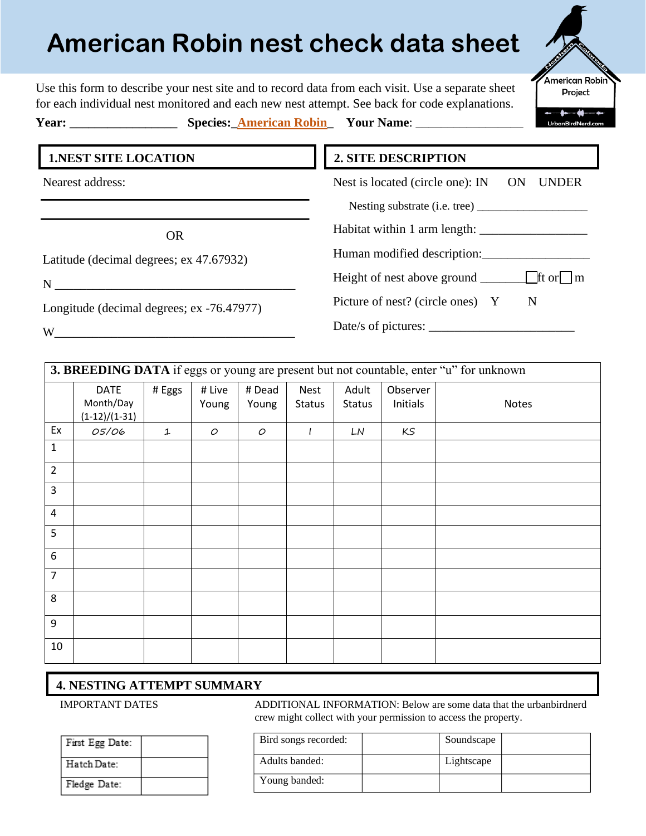# **American Robin nest check data sheet**

Use this form to describe your nest site and to record data from each visit. Use a separate sheet

American Robin Project

for each individual nest monitored and each new nest attempt. See back for code explanations.

**Year: \_\_\_\_\_\_\_\_\_\_\_\_\_\_\_\_\_ Species:\_American Robin\_ Your Name**: \_\_\_\_\_\_\_\_\_\_\_\_\_\_\_\_\_

**2. SITE DESCRIPTION**

Nest is located (circle one): IN ON UNDER

Habitat within 1 arm length: \_\_\_\_\_\_\_\_\_\_\_\_\_\_\_\_\_

Human modified description:

Height of nest above ground  $\Box$  ft or  $\Box$  m

Date/s of pictures: \_\_\_\_\_\_\_\_\_\_\_\_\_\_\_\_\_\_\_\_\_\_\_

Picture of nest? (circle ones) Y N

Nesting substrate (i.e. tree) \_\_\_\_\_\_\_\_\_\_\_\_\_\_\_\_\_\_\_

## **1.NEST SITE LOCATION**

Nearest address:

OR

Latitude (decimal degrees; ex 47.67932)

 $N$ 

Longitude (decimal degrees; ex -76.47977)

 $W$ 

| 3. BREEDING DATA if eggs or young are present but not countable, enter "u" for unknown |                                             |        |                 |                 |                |                        |                      |       |
|----------------------------------------------------------------------------------------|---------------------------------------------|--------|-----------------|-----------------|----------------|------------------------|----------------------|-------|
|                                                                                        | <b>DATE</b><br>Month/Day<br>$(1-12)/(1-31)$ | # Eggs | # Live<br>Young | # Dead<br>Young | Nest<br>Status | Adult<br><b>Status</b> | Observer<br>Initials | Notes |
| Ex                                                                                     | 05/06                                       | 1      | 0               | $\mathcal{O}$   | l              | LN                     | KS                   |       |
| $\mathbf 1$                                                                            |                                             |        |                 |                 |                |                        |                      |       |
| $\overline{2}$                                                                         |                                             |        |                 |                 |                |                        |                      |       |
| $\overline{3}$                                                                         |                                             |        |                 |                 |                |                        |                      |       |
| $\overline{4}$                                                                         |                                             |        |                 |                 |                |                        |                      |       |
| 5                                                                                      |                                             |        |                 |                 |                |                        |                      |       |
| 6                                                                                      |                                             |        |                 |                 |                |                        |                      |       |
| $\overline{7}$                                                                         |                                             |        |                 |                 |                |                        |                      |       |
| 8                                                                                      |                                             |        |                 |                 |                |                        |                      |       |
| 9                                                                                      |                                             |        |                 |                 |                |                        |                      |       |
| 10                                                                                     |                                             |        |                 |                 |                |                        |                      |       |

## **4. NESTING ATTEMPT SUMMARY**

IMPORTANT DATES ADDITIONAL INFORMATION: Below are some data that the urbanbirdnerd crew might collect with your permission to access the property.

| First Egg Date: |  |
|-----------------|--|
| Hatch Date:     |  |
| Fledge Date:    |  |

| Bird songs recorded: | Soundscape |  |
|----------------------|------------|--|
| Adults banded:       | Lightscape |  |
| Young banded:        |            |  |